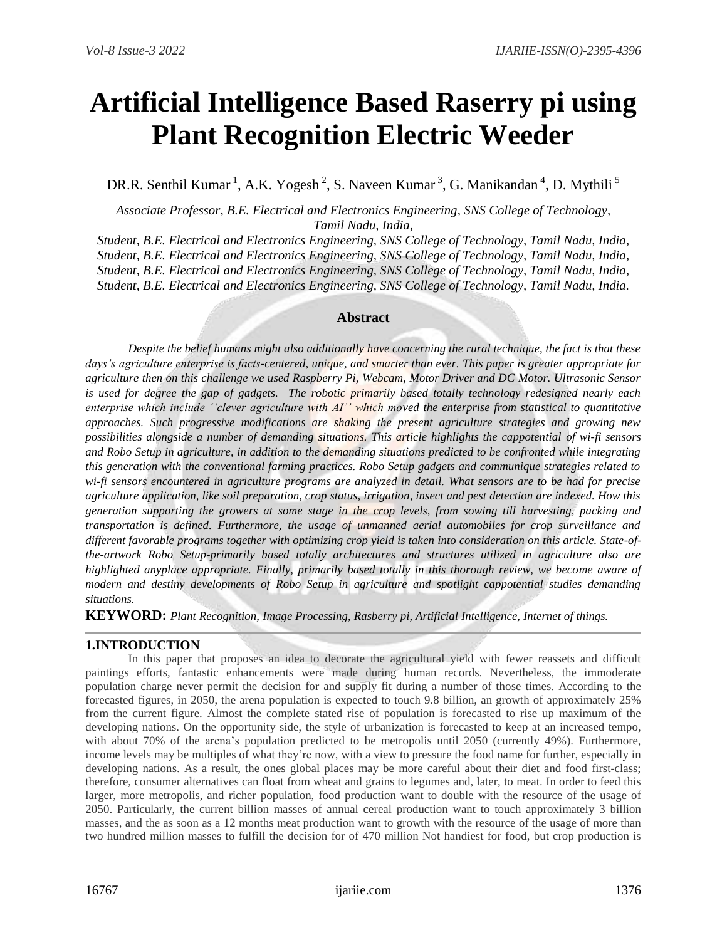# **Artificial Intelligence Based Raserry pi using Plant Recognition Electric Weeder**

DR.R. Senthil Kumar<sup>1</sup>, A.K. Yogesh<sup>2</sup>, S. Naveen Kumar<sup>3</sup>, G. Manikandan<sup>4</sup>, D. Mythili<sup>5</sup>

*Associate Professor, B.E. Electrical and Electronics Engineering, SNS College of Technology, Tamil Nadu, India,*

*Student, B.E. Electrical and Electronics Engineering, SNS College of Technology, Tamil Nadu, India, Student, B.E. Electrical and Electronics Engineering, SNS College of Technology, Tamil Nadu, India, Student, B.E. Electrical and Electronics Engineering, SNS College of Technology, Tamil Nadu, India, Student, B.E. Electrical and Electronics Engineering, SNS College of Technology, Tamil Nadu, India.*

## **Abstract**

*Despite the belief humans might also additionally have concerning the rural technique, the fact is that these days's agriculture enterprise is facts-centered, unique, and smarter than ever. This paper is greater appropriate for agriculture then on this challenge we used Raspberry Pi, Webcam, Motor Driver and DC Motor. Ultrasonic Sensor is used for degree the gap of gadgets. The robotic primarily based totally technology redesigned nearly each enterprise which include ''clever agriculture with AI'' which moved the enterprise from statistical to quantitative approaches. Such progressive modifications are shaking the present agriculture strategies and growing new possibilities alongside a number of demanding situations. This article highlights the cappotential of wi-fi sensors and Robo Setup in agriculture, in addition to the demanding situations predicted to be confronted while integrating this generation with the conventional farming practices. Robo Setup gadgets and communique strategies related to wi-fi sensors encountered in agriculture programs are analyzed in detail. What sensors are to be had for precise agriculture application, like soil preparation, crop status, irrigation, insect and pest detection are indexed. How this generation supporting the growers at some stage in the crop levels, from sowing till harvesting, packing and transportation is defined. Furthermore, the usage of unmanned aerial automobiles for crop surveillance and different favorable programs together with optimizing crop yield is taken into consideration on this article. State-ofthe-artwork Robo Setup-primarily based totally architectures and structures utilized in agriculture also are highlighted anyplace appropriate. Finally, primarily based totally in this thorough review, we become aware of modern and destiny developments of Robo Setup in agriculture and spotlight cappotential studies demanding situations.*

**KEYWORD:** *Plant Recognition, Image Processing, Rasberry pi, Artificial Intelligence, Internet of things.*

## **1.INTRODUCTION**

In this paper that proposes an idea to decorate the agricultural yield with fewer reassets and difficult paintings efforts, fantastic enhancements were made during human records. Nevertheless, the immoderate population charge never permit the decision for and supply fit during a number of those times. According to the forecasted figures, in 2050, the arena population is expected to touch 9.8 billion, an growth of approximately 25% from the current figure. Almost the complete stated rise of population is forecasted to rise up maximum of the developing nations. On the opportunity side, the style of urbanization is forecasted to keep at an increased tempo, with about 70% of the arena's population predicted to be metropolis until 2050 (currently 49%). Furthermore, income levels may be multiples of what they're now, with a view to pressure the food name for further, especially in developing nations. As a result, the ones global places may be more careful about their diet and food first-class; therefore, consumer alternatives can float from wheat and grains to legumes and, later, to meat. In order to feed this larger, more metropolis, and richer population, food production want to double with the resource of the usage of 2050. Particularly, the current billion masses of annual cereal production want to touch approximately 3 billion masses, and the as soon as a 12 months meat production want to growth with the resource of the usage of more than two hundred million masses to fulfill the decision for of 470 million Not handiest for food, but crop production is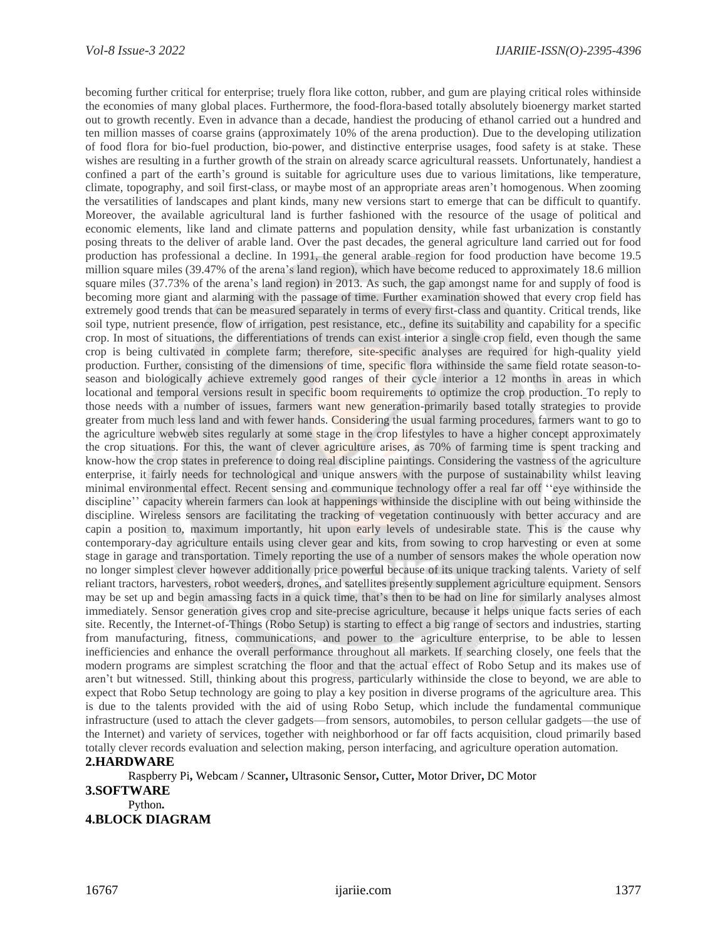becoming further critical for enterprise; truely flora like cotton, rubber, and gum are playing critical roles withinside the economies of many global places. Furthermore, the food-flora-based totally absolutely bioenergy market started out to growth recently. Even in advance than a decade, handiest the producing of ethanol carried out a hundred and ten million masses of coarse grains (approximately 10% of the arena production). Due to the developing utilization of food flora for bio-fuel production, bio-power, and distinctive enterprise usages, food safety is at stake. These wishes are resulting in a further growth of the strain on already scarce agricultural reassets. Unfortunately, handiest a confined a part of the earth's ground is suitable for agriculture uses due to various limitations, like temperature, climate, topography, and soil first-class, or maybe most of an appropriate areas aren't homogenous. When zooming the versatilities of landscapes and plant kinds, many new versions start to emerge that can be difficult to quantify. Moreover, the available agricultural land is further fashioned with the resource of the usage of political and economic elements, like land and climate patterns and population density, while fast urbanization is constantly posing threats to the deliver of arable land. Over the past decades, the general agriculture land carried out for food production has professional a decline. In 1991, the general arable region for food production have become 19.5 million square miles (39.47% of the arena's land region), which have become reduced to approximately 18.6 million square miles (37.73% of the arena's land region) in 2013. As such, the gap amongst name for and supply of food is becoming more giant and alarming with the passage of time. Further examination showed that every crop field has extremely good trends that can be measured separately in terms of every first-class and quantity. Critical trends, like soil type, nutrient presence, flow of irrigation, pest resistance, etc., define its suitability and capability for a specific crop. In most of situations, the differentiations of trends can exist interior a single crop field, even though the same crop is being cultivated in complete farm; therefore, site-specific analyses are required for high-quality yield production. Further, consisting of the dimensions of time, specific flora withinside the same field rotate season-toseason and biologically achieve extremely good ranges of their cycle interior a 12 months in areas in which locational and temporal versions result in specific boom requirements to optimize the crop production. To reply to those needs with a number of issues, farmers want new generation-primarily based totally strategies to provide greater from much less land and with fewer hands. Considering the usual farming procedures, farmers want to go to the agriculture webweb sites regularly at some stage in the crop lifestyles to have a higher concept approximately the crop situations. For this, the want of clever agriculture arises, as 70% of farming time is spent tracking and know-how the crop states in preference to doing real discipline paintings. Considering the vastness of the agriculture enterprise, it fairly needs for technological and unique answers with the purpose of sustainability whilst leaving minimal environmental effect. Recent sensing and communique technology offer a real far off ''eye withinside the discipline'' capacity wherein farmers can look at happenings withinside the discipline with out being withinside the discipline. Wireless sensors are facilitating the tracking of vegetation continuously with better accuracy and are capin a position to, maximum importantly, hit upon early levels of undesirable state. This is the cause why contemporary-day agriculture entails using clever gear and kits, from sowing to crop harvesting or even at some stage in garage and transportation. Timely reporting the use of a number of sensors makes the whole operation now no longer simplest clever however additionally price powerful because of its unique tracking talents. Variety of self reliant tractors, harvesters, robot weeders, drones, and satellites presently supplement agriculture equipment. Sensors may be set up and begin amassing facts in a quick time, that's then to be had on line for similarly analyses almost immediately. Sensor generation gives crop and site-precise agriculture, because it helps unique facts series of each site. Recently, the Internet-of-Things (Robo Setup) is starting to effect a big range of sectors and industries, starting from manufacturing, fitness, communications, and power to the agriculture enterprise, to be able to lessen inefficiencies and enhance the overall performance throughout all markets. If searching closely, one feels that the modern programs are simplest scratching the floor and that the actual effect of Robo Setup and its makes use of aren't but witnessed. Still, thinking about this progress, particularly withinside the close to beyond, we are able to expect that Robo Setup technology are going to play a key position in diverse programs of the agriculture area. This is due to the talents provided with the aid of using Robo Setup, which include the fundamental communique infrastructure (used to attach the clever gadgets—from sensors, automobiles, to person cellular gadgets—the use of the Internet) and variety of services, together with neighborhood or far off facts acquisition, cloud primarily based totally clever records evaluation and selection making, person interfacing, and agriculture operation automation.

### **2.HARDWARE**

Raspberry Pi**,** Webcam / Scanner**,** Ultrasonic Sensor**,** Cutter**,** Motor Driver**,** DC Motor

#### **3.SOFTWARE** Python**. 4.BLOCK DIAGRAM**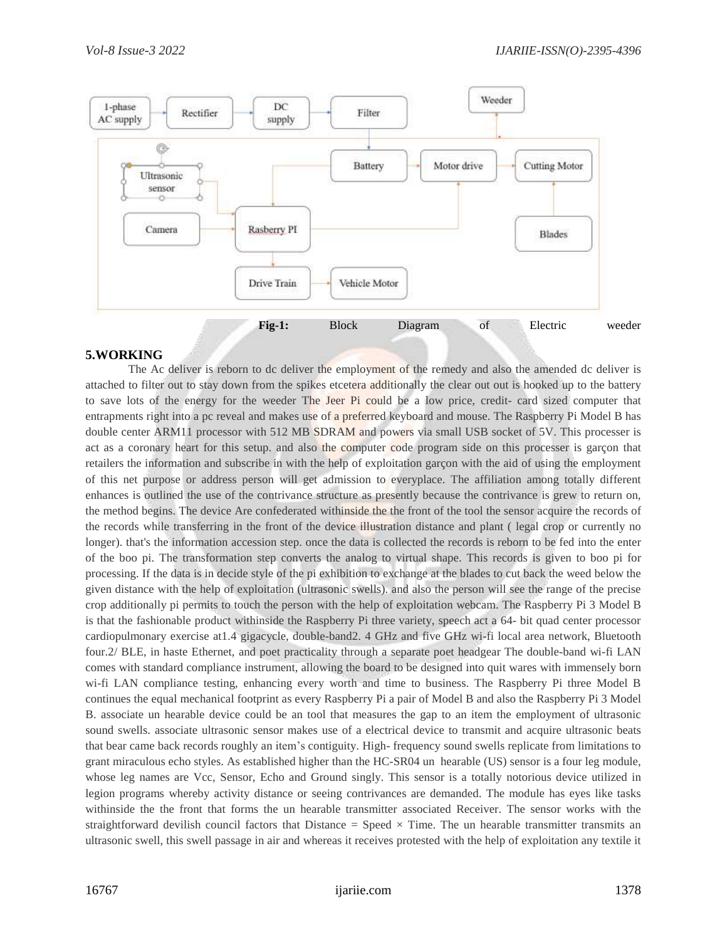

## **5.WORKING**

The Ac deliver is reborn to dc deliver the employment of the remedy and also the amended dc deliver is attached to filter out to stay down from the spikes etcetera additionally the clear out out is hooked up to the battery to save lots of the energy for the weeder The Jeer Pi could be a low price, credit- card sized computer that entrapments right into a pc reveal and makes use of a preferred keyboard and mouse. The Raspberry Pi Model B has double center ARM11 processor with 512 MB SDRAM and powers via small USB socket of 5V. This processer is act as a coronary heart for this setup. and also the computer code program side on this processer is garçon that retailers the information and subscribe in with the help of exploitation garçon with the aid of using the employment of this net purpose or address person will get admission to everyplace. The affiliation among totally different enhances is outlined the use of the contrivance structure as presently because the contrivance is grew to return on, the method begins. The device Are confederated withinside the the front of the tool the sensor acquire the records of the records while transferring in the front of the device illustration distance and plant ( legal crop or currently no longer). that's the information accession step. once the data is collected the records is reborn to be fed into the enter of the boo pi. The transformation step converts the analog to virtual shape. This records is given to boo pi for processing. If the data is in decide style of the pi exhibition to exchange at the blades to cut back the weed below the given distance with the help of exploitation (ultrasonic swells). and also the person will see the range of the precise crop additionally pi permits to touch the person with the help of exploitation webcam. The Raspberry Pi 3 Model B is that the fashionable product withinside the Raspberry Pi three variety, speech act a 64- bit quad center processor cardiopulmonary exercise at1.4 gigacycle, double-band2. 4 GHz and five GHz wi-fi local area network, Bluetooth four.2/ BLE, in haste Ethernet, and poet practicality through a separate poet headgear The double-band wi-fi LAN comes with standard compliance instrument, allowing the board to be designed into quit wares with immensely born wi-fi LAN compliance testing, enhancing every worth and time to business. The Raspberry Pi three Model B continues the equal mechanical footprint as every Raspberry Pi a pair of Model B and also the Raspberry Pi 3 Model B. associate un hearable device could be an tool that measures the gap to an item the employment of ultrasonic sound swells. associate ultrasonic sensor makes use of a electrical device to transmit and acquire ultrasonic beats that bear came back records roughly an item's contiguity. High- frequency sound swells replicate from limitations to grant miraculous echo styles. As established higher than the HC-SR04 un hearable (US) sensor is a four leg module, whose leg names are Vcc, Sensor, Echo and Ground singly. This sensor is a totally notorious device utilized in legion programs whereby activity distance or seeing contrivances are demanded. The module has eyes like tasks withinside the the front that forms the un hearable transmitter associated Receiver. The sensor works with the straightforward devilish council factors that Distance = Speed  $\times$  Time. The un hearable transmitter transmits an ultrasonic swell, this swell passage in air and whereas it receives protested with the help of exploitation any textile it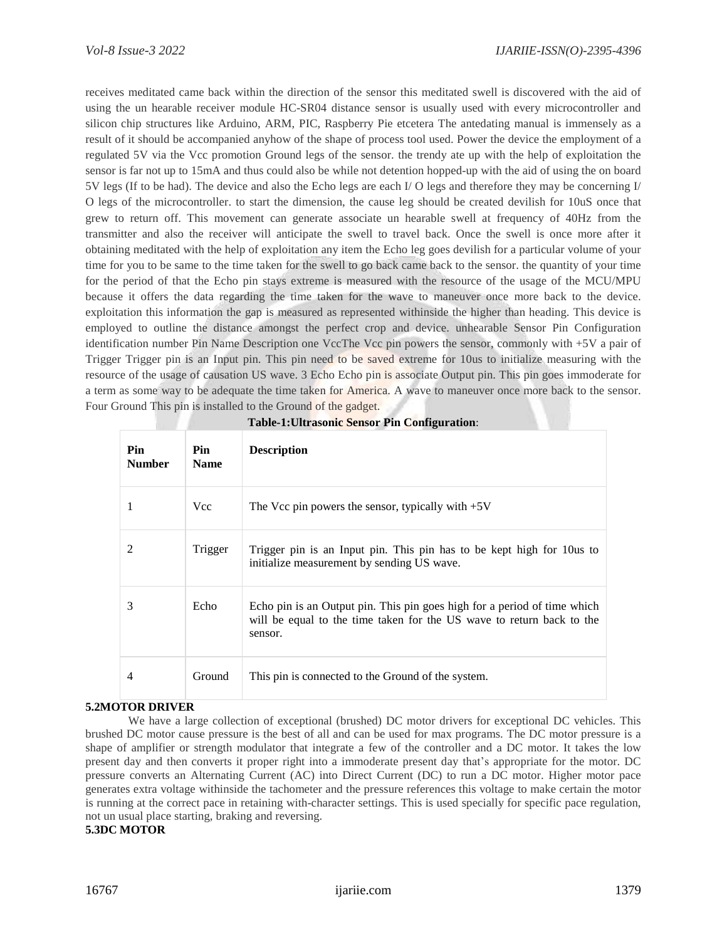receives meditated came back within the direction of the sensor this meditated swell is discovered with the aid of using the un hearable receiver module HC-SR04 distance sensor is usually used with every microcontroller and silicon chip structures like Arduino, ARM, PIC, Raspberry Pie etcetera The antedating manual is immensely as a result of it should be accompanied anyhow of the shape of process tool used. Power the device the employment of a regulated 5V via the Vcc promotion Ground legs of the sensor. the trendy ate up with the help of exploitation the sensor is far not up to 15mA and thus could also be while not detention hopped-up with the aid of using the on board 5V legs (If to be had). The device and also the Echo legs are each I/ O legs and therefore they may be concerning I/ O legs of the microcontroller. to start the dimension, the cause leg should be created devilish for 10uS once that grew to return off. This movement can generate associate un hearable swell at frequency of 40Hz from the transmitter and also the receiver will anticipate the swell to travel back. Once the swell is once more after it obtaining meditated with the help of exploitation any item the Echo leg goes devilish for a particular volume of your time for you to be same to the time taken for the swell to go back came back to the sensor. the quantity of your time for the period of that the Echo pin stays extreme is measured with the resource of the usage of the MCU/MPU because it offers the data regarding the time taken for the wave to maneuver once more back to the device. exploitation this information the gap is measured as represented withinside the higher than heading. This device is employed to outline the distance amongst the perfect crop and device. unhearable Sensor Pin Configuration identification number Pin Name Description one VccThe Vcc pin powers the sensor, commonly with +5V a pair of Trigger Trigger pin is an Input pin. This pin need to be saved extreme for 10us to initialize measuring with the resource of the usage of causation US wave. 3 Echo Echo pin is associate Output pin. This pin goes immoderate for a term as some way to be adequate the time taken for America. A wave to maneuver once more back to the sensor. Four Ground This pin is installed to the Ground of the gadget.

| Pin<br><b>Number</b>        | Pin<br><b>Name</b> | <b>Description</b>                                                                                                                                           |
|-----------------------------|--------------------|--------------------------------------------------------------------------------------------------------------------------------------------------------------|
|                             | <b>Vcc</b>         | The Vcc pin powers the sensor, typically with $+5V$                                                                                                          |
| $\mathcal{D}_{\mathcal{L}}$ | Trigger            | Trigger pin is an Input pin. This pin has to be kept high for 10 us to<br>initialize measurement by sending US wave.                                         |
| 3                           | Echo               | Echo pin is an Output pin. This pin goes high for a period of time which<br>will be equal to the time taken for the US wave to return back to the<br>sensor. |
| 4                           | Ground             | This pin is connected to the Ground of the system.                                                                                                           |

## **5.2MOTOR DRIVER**

We have a large collection of exceptional (brushed) DC motor drivers for exceptional DC vehicles. This brushed DC motor cause pressure is the best of all and can be used for max programs. The DC motor pressure is a shape of amplifier or strength modulator that integrate a few of the controller and a DC motor. It takes the low present day and then converts it proper right into a immoderate present day that's appropriate for the motor. DC pressure converts an Alternating Current (AC) into Direct Current (DC) to run a DC motor. Higher motor pace generates extra voltage withinside the tachometer and the pressure references this voltage to make certain the motor is running at the correct pace in retaining with-character settings. This is used specially for specific pace regulation, not un usual place starting, braking and reversing.

#### **5.3DC MOTOR**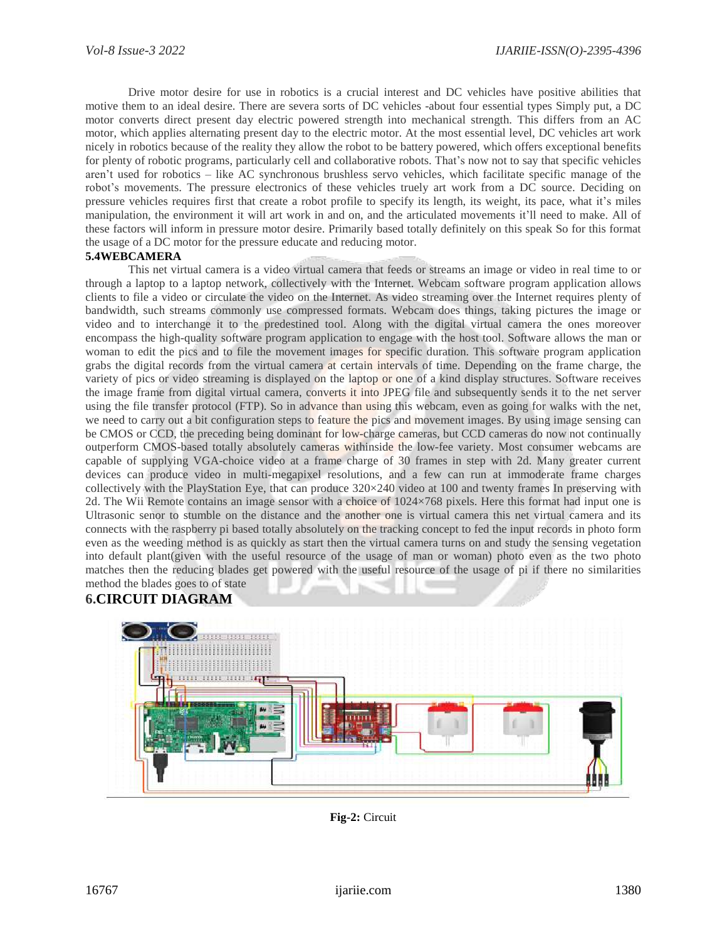Drive motor desire for use in robotics is a crucial interest and DC vehicles have positive abilities that motive them to an ideal desire. There are severa sorts of DC vehicles -about four essential types Simply put, a DC motor converts direct present day electric powered strength into mechanical strength. This differs from an AC motor, which applies alternating present day to the electric motor. At the most essential level, DC vehicles art work nicely in robotics because of the reality they allow the robot to be battery powered, which offers exceptional benefits for plenty of robotic programs, particularly cell and collaborative robots. That's now not to say that specific vehicles aren't used for robotics – like AC synchronous brushless servo vehicles, which facilitate specific manage of the robot's movements. The pressure electronics of these vehicles truely art work from a DC source. Deciding on pressure vehicles requires first that create a robot profile to specify its length, its weight, its pace, what it's miles manipulation, the environment it will art work in and on, and the articulated movements it'll need to make. All of these factors will inform in pressure motor desire. Primarily based totally definitely on this speak So for this format the usage of a DC motor for the pressure educate and reducing motor.

#### **5.4WEBCAMERA**

This net virtual camera is a video virtual camera that feeds or streams an image or video in real time to or through a laptop to a laptop network, collectively with the Internet. Webcam software program application allows clients to file a video or circulate the video on the Internet. As video streaming over the Internet requires plenty of bandwidth, such streams commonly use compressed formats. Webcam does things, taking pictures the image or video and to interchange it to the predestined tool. Along with the digital virtual camera the ones moreover encompass the high-quality software program application to engage with the host tool. Software allows the man or woman to edit the pics and to file the movement images for specific duration. This software program application grabs the digital records from the virtual camera at certain intervals of time. Depending on the frame charge, the variety of pics or video streaming is displayed on the laptop or one of a kind display structures. Software receives the image frame from digital virtual camera, converts it into JPEG file and subsequently sends it to the net server using the file transfer protocol (FTP). So in advance than using this webcam, even as going for walks with the net, we need to carry out a bit configuration steps to feature the pics and movement images. By using image sensing can be CMOS or CCD, the preceding being dominant for low-charge cameras, but CCD cameras do now not continually outperform CMOS-based totally absolutely cameras withinside the low-fee variety. Most consumer webcams are capable of supplying VGA-choice video at a frame charge of 30 frames in step with 2d. Many greater current devices can produce video in multi-megapixel resolutions, and a few can run at immoderate frame charges collectively with the PlayStation Eye, that can produce 320×240 video at 100 and twenty frames In preserving with 2d. The Wii Remote contains an image sensor with a choice of 1024×768 pixels. Here this format had input one is Ultrasonic senor to stumble on the distance and the another one is virtual camera this net virtual camera and its connects with the raspberry pi based totally absolutely on the tracking concept to fed the input records in photo form even as the weeding method is as quickly as start then the virtual camera turns on and study the sensing vegetation into default plant(given with the useful resource of the usage of man or woman) photo even as the two photo matches then the reducing blades get powered with the useful resource of the usage of pi if there no similarities method the blades goes to of state

## **6.CIRCUIT DIAGRAM**



**Fig-2:** Circuit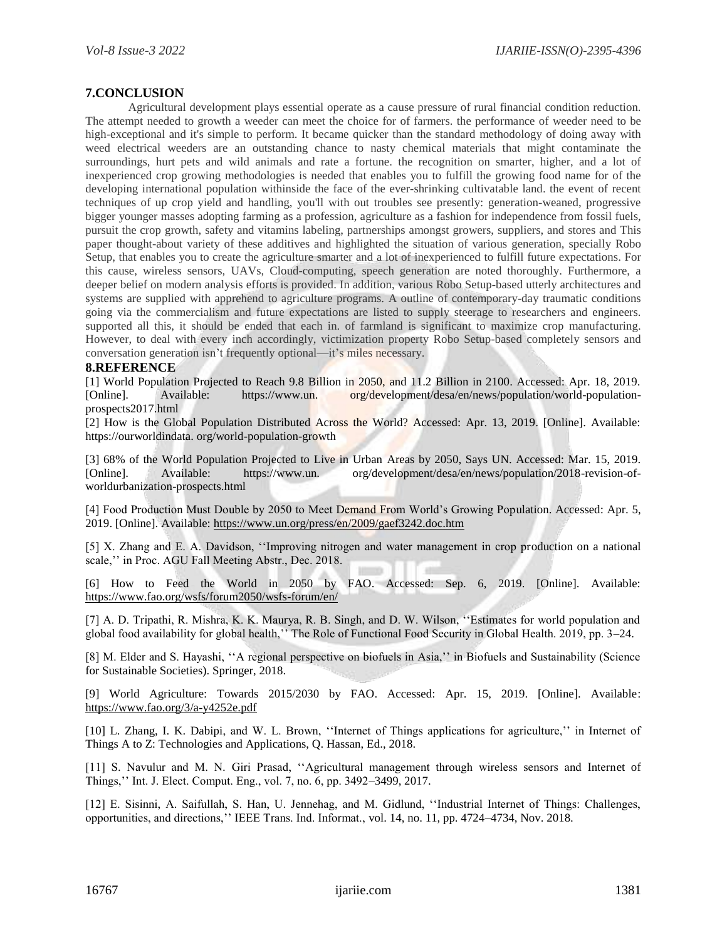#### **7.CONCLUSION**

Agricultural development plays essential operate as a cause pressure of rural financial condition reduction. The attempt needed to growth a weeder can meet the choice for of farmers. the performance of weeder need to be high-exceptional and it's simple to perform. It became quicker than the standard methodology of doing away with weed electrical weeders are an outstanding chance to nasty chemical materials that might contaminate the surroundings, hurt pets and wild animals and rate a fortune. the recognition on smarter, higher, and a lot of inexperienced crop growing methodologies is needed that enables you to fulfill the growing food name for of the developing international population withinside the face of the ever-shrinking cultivatable land. the event of recent techniques of up crop yield and handling, you'll with out troubles see presently: generation-weaned, progressive bigger younger masses adopting farming as a profession, agriculture as a fashion for independence from fossil fuels, pursuit the crop growth, safety and vitamins labeling, partnerships amongst growers, suppliers, and stores and This paper thought-about variety of these additives and highlighted the situation of various generation, specially Robo Setup, that enables you to create the agriculture smarter and a lot of inexperienced to fulfill future expectations. For this cause, wireless sensors, UAVs, Cloud-computing, speech generation are noted thoroughly. Furthermore, a deeper belief on modern analysis efforts is provided. In addition, various Robo Setup-based utterly architectures and systems are supplied with apprehend to agriculture programs. A outline of contemporary-day traumatic conditions going via the commercialism and future expectations are listed to supply steerage to researchers and engineers. supported all this, it should be ended that each in. of farmland is significant to maximize crop manufacturing. However, to deal with every inch accordingly, victimization property Robo Setup-based completely sensors and conversation generation isn't frequently optional—it's miles necessary.

#### **8.REFERENCE**

[1] World Population Projected to Reach 9.8 Billion in 2050, and 11.2 Billion in 2100. Accessed: Apr. 18, 2019. [Online]. Available: https://www.un. org/development/desa/en/news/population/world-populationprospects2017.html

[2] How is the Global Population Distributed Across the World? Accessed: Apr. 13, 2019. [Online]. Available: https://ourworldindata. org/world-population-growth

[3] 68% of the World Population Projected to Live in Urban Areas by 2050, Says UN. Accessed: Mar. 15, 2019. [Online]. Available: https://www.un. org/development/desa/en/news/population/2018-revision-ofworldurbanization-prospects.html

[4] Food Production Must Double by 2050 to Meet Demand From World's Growing Population. Accessed: Apr. 5, 2019. [Online]. Available:<https://www.un.org/press/en/2009/gaef3242.doc.htm>

[5] X. Zhang and E. A. Davidson, ''Improving nitrogen and water management in crop production on a national scale,'' in Proc. AGU Fall Meeting Abstr., Dec. 2018.

[6] How to Feed the World in 2050 by FAO. Accessed: Sep. 6, 2019. [Online]. Available: <https://www.fao.org/wsfs/forum2050/wsfs-forum/en/>

[7] A. D. Tripathi, R. Mishra, K. K. Maurya, R. B. Singh, and D. W. Wilson, ''Estimates for world population and global food availability for global health,'' The Role of Functional Food Security in Global Health. 2019, pp. 3–24.

[8] M. Elder and S. Hayashi, ''A regional perspective on biofuels in Asia,'' in Biofuels and Sustainability (Science for Sustainable Societies). Springer, 2018.

[9] World Agriculture: Towards 2015/2030 by FAO. Accessed: Apr. 15, 2019. [Online]. Available: <https://www.fao.org/3/a-y4252e.pdf>

[10] L. Zhang, I. K. Dabipi, and W. L. Brown, ''Internet of Things applications for agriculture,'' in Internet of Things A to Z: Technologies and Applications, Q. Hassan, Ed., 2018.

[11] S. Navulur and M. N. Giri Prasad, ''Agricultural management through wireless sensors and Internet of Things,'' Int. J. Elect. Comput. Eng., vol. 7, no. 6, pp. 3492–3499, 2017.

[12] E. Sisinni, A. Saifullah, S. Han, U. Jennehag, and M. Gidlund, ''Industrial Internet of Things: Challenges, opportunities, and directions,'' IEEE Trans. Ind. Informat., vol. 14, no. 11, pp. 4724–4734, Nov. 2018.